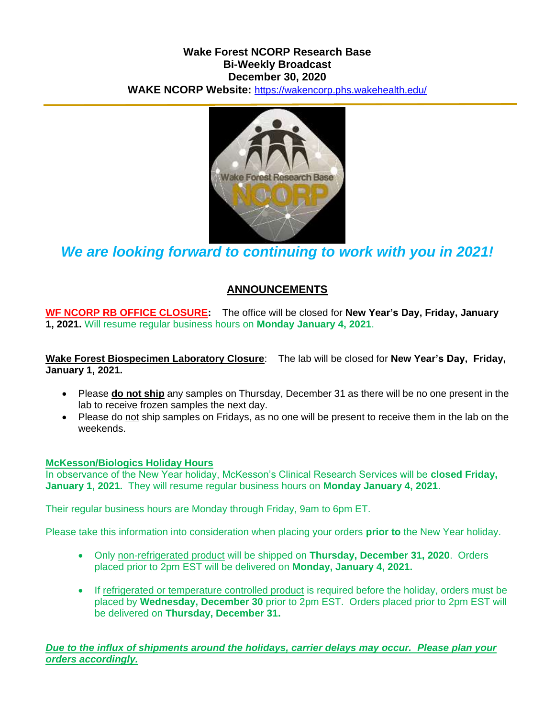## **Wake Forest NCORP Research Base Bi-Weekly Broadcast December 30, 2020 WAKE NCORP Website:** <https://wakencorp.phs.wakehealth.edu/>



*We are looking forward to continuing to work with you in 2021!*

# **ANNOUNCEMENTS**

**WF NCORP RB OFFICE CLOSURE:** The office will be closed for **New Year's Day, Friday, January 1, 2021.** Will resume regular business hours on **Monday January 4, 2021**.

**Wake Forest Biospecimen Laboratory Closure**: The lab will be closed for **New Year's Day, Friday, January 1, 2021.**

- Please **do not ship** any samples on Thursday, December 31 as there will be no one present in the lab to receive frozen samples the next day.
- Please do not ship samples on Fridays, as no one will be present to receive them in the lab on the weekends.

### **McKesson/Biologics Holiday Hours**

In observance of the New Year holiday, McKesson's Clinical Research Services will be **closed Friday, January 1, 2021.** They will resume regular business hours on **Monday January 4, 2021**.

Their regular business hours are Monday through Friday, 9am to 6pm ET.

Please take this information into consideration when placing your orders **prior to** the New Year holiday.

- Only non-refrigerated product will be shipped on **Thursday, December 31, 2020**. Orders placed prior to 2pm EST will be delivered on **Monday, January 4, 2021.**
- If refrigerated or temperature controlled product is required before the holiday, orders must be placed by **Wednesday, December 30** prior to 2pm EST. Orders placed prior to 2pm EST will be delivered on **Thursday, December 31.**

*Due to the influx of shipments around the holidays, carrier delays may occur. Please plan your orders accordingly.*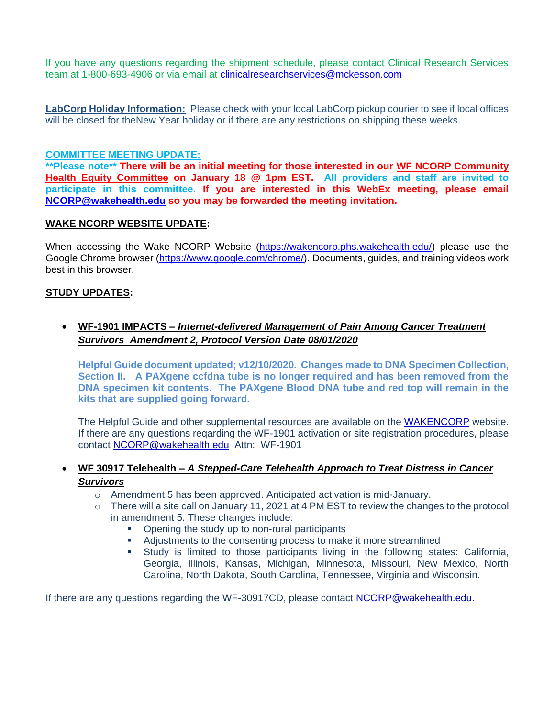If you have any questions regarding the shipment schedule, please contact Clinical Research Services team at 1-800-693-4906 or via email at *clinicalresearchservices@mckesson.com* 

**LabCorp Holiday Information:** Please check with your local LabCorp pickup courier to see if local offices will be closed for theNew Year holiday or if there are any restrictions on shipping these weeks.

#### **COMMITTEE MEETING UPDATE:**

**\*\*Please note\*\* There will be an initial meeting for those interested in our WF NCORP Community Health Equity Committee on January 18 @ 1pm EST. All providers and staff are invited to participate in this committee. If you are interested in this WebEx meeting, please email [NCORP@wakehealth.edu](mailto:NCORP@wakehealth.edu) so you may be forwarded the meeting invitation.**

#### **WAKE NCORP WEBSITE UPDATE:**

When accessing the Wake NCORP Website [\(https://wakencorp.phs.wakehealth.edu/\)](https://wakencorp.phs.wakehealth.edu/) please use the Google Chrome browser [\(https://www.google.com/chrome/\)](https://www.google.com/chrome/). Documents, guides, and training videos work best in this browser.

#### **STUDY UPDATES:**

 **WF-1901 IMPACTS –** *Internet-delivered Management of Pain Among Cancer Treatment Survivors Amendment 2, Protocol Version Date 08/01/2020*

**Helpful Guide document updated; v12/10/2020. Changes made to DNA Specimen Collection, Section II. A PAXgene ccfdna tube is no longer required and has been removed from the DNA specimen kit contents. The PAXgene Blood DNA tube and red top will remain in the kits that are supplied going forward.**

The Helpful Guide and other supplemental resources are available on the [WAKENCORP](mailto:https://wakencorp.phs.wakehealth.edu/) website. If there are any questions reqarding the WF-1901 activation or site registration procedures, please contact [NCORP@wakehealth.edu](mailto:NCORP@wakehealth.edu) Attn: WF-1901

### **WF 30917 Telehealth –** *A Stepped-Care Telehealth Approach to Treat Distress in Cancer Survivors*

- $\circ$  Amendment 5 has been approved. Anticipated activation is mid-January.
- $\circ$  There will a site call on January 11, 2021 at 4 PM EST to review the changes to the protocol in amendment 5. These changes include:
	- Opening the study up to non-rural participants
	- Adjustments to the consenting process to make it more streamlined
	- Study is limited to those participants living in the following states: California, Georgia, Illinois, Kansas, Michigan, Minnesota, Missouri, New Mexico, North Carolina, North Dakota, South Carolina, Tennessee, Virginia and Wisconsin.

If there are any questions regarding the WF-30917CD, please contact **NCORP@wakehealth.edu.**